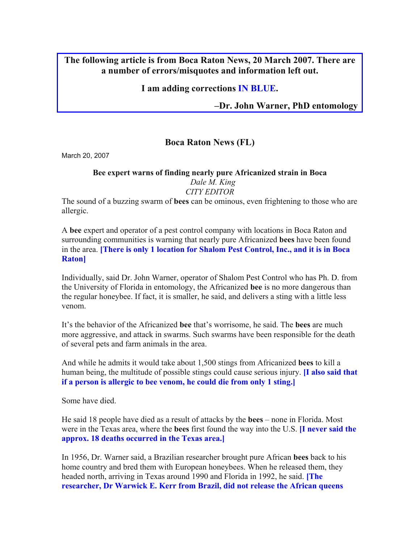## **The following article is from Boca Raton News, 20 March 2007. There are a number of errors/misquotes and information left out.**

## **I am adding corrections IN BLUE.**

**–Dr. John Warner, PhD entomology** 

# **Boca Raton News (FL)**

March 20, 2007

### **Bee expert warns of finding nearly pure Africanized strain in Boca**  *Dale M. King CITY EDITOR*

The sound of a buzzing swarm of **bees** can be ominous, even frightening to those who are allergic.

A **bee** expert and operator of a pest control company with locations in Boca Raton and surrounding communities is warning that nearly pure Africanized **bees** have been found in the area. **[There is only 1 location for Shalom Pest Control, Inc., and it is in Boca Raton]** 

Individually, said Dr. John Warner, operator of Shalom Pest Control who has Ph. D. from the University of Florida in entomology, the Africanized **bee** is no more dangerous than the regular honeybee. If fact, it is smaller, he said, and delivers a sting with a little less venom.

It's the behavior of the Africanized **bee** that's worrisome, he said. The **bees** are much more aggressive, and attack in swarms. Such swarms have been responsible for the death of several pets and farm animals in the area.

And while he admits it would take about 1,500 stings from Africanized **bees** to kill a human being, the multitude of possible stings could cause serious injury. **[I also said that if a person is allergic to bee venom, he could die from only 1 sting.]** 

Some have died.

He said 18 people have died as a result of attacks by the **bees** – none in Florida. Most were in the Texas area, where the **bees** first found the way into the U.S. **[I never said the approx. 18 deaths occurred in the Texas area.]** 

In 1956, Dr. Warner said, a Brazilian researcher brought pure African **bees** back to his home country and bred them with European honeybees. When he released them, they headed north, arriving in Texas around 1990 and Florida in 1992, he said. **[The researcher, Dr Warwick E. Kerr from Brazil, did not release the African queens**